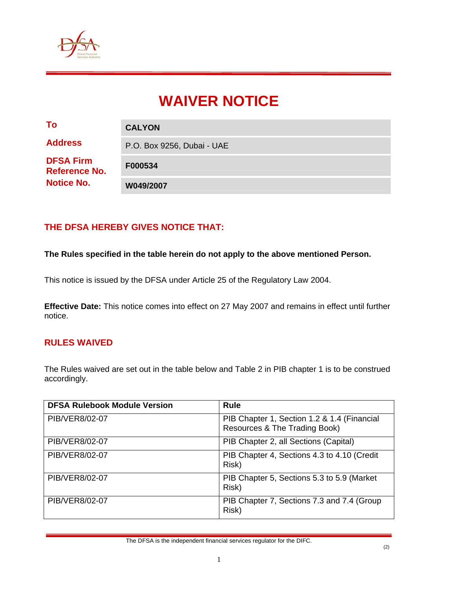

# **WAIVER NOTICE**

| To                                                            | <b>CALYON</b>              |
|---------------------------------------------------------------|----------------------------|
| <b>Address</b>                                                | P.O. Box 9256, Dubai - UAE |
| <b>DFSA Firm</b><br><b>Reference No.</b><br><b>Notice No.</b> | F000534                    |
|                                                               | W049/2007                  |

## **THE DFSA HEREBY GIVES NOTICE THAT:**

#### **The Rules specified in the table herein do not apply to the above mentioned Person.**

This notice is issued by the DFSA under Article 25 of the Regulatory Law 2004.

**Effective Date:** This notice comes into effect on 27 May 2007 and remains in effect until further notice.

#### **RULES WAIVED**

The Rules waived are set out in the table below and Table 2 in PIB chapter 1 is to be construed accordingly.

| <b>DFSA Rulebook Module Version</b> | <b>Rule</b>                                                                  |
|-------------------------------------|------------------------------------------------------------------------------|
| PIB/VER8/02-07                      | PIB Chapter 1, Section 1.2 & 1.4 (Financial<br>Resources & The Trading Book) |
| PIB/VER8/02-07                      | PIB Chapter 2, all Sections (Capital)                                        |
| PIB/VER8/02-07                      | PIB Chapter 4, Sections 4.3 to 4.10 (Credit<br>Risk)                         |
| PIB/VER8/02-07                      | PIB Chapter 5, Sections 5.3 to 5.9 (Market<br>Risk)                          |
| PIB/VER8/02-07                      | PIB Chapter 7, Sections 7.3 and 7.4 (Group<br>Risk)                          |